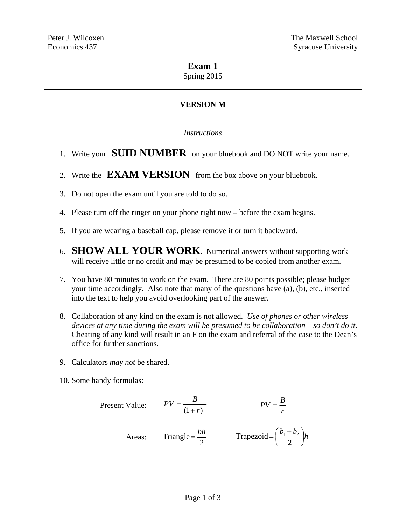## **Exam 1**

Spring 2015

# **VERSION M**

### *Instructions*

- 1. Write your **SUID NUMBER** on your bluebook and DO NOT write your name.
- 2. Write the **EXAM VERSION** from the box above on your bluebook.
- 3. Do not open the exam until you are told to do so.
- 4. Please turn off the ringer on your phone right now before the exam begins.
- 5. If you are wearing a baseball cap, please remove it or turn it backward.
- 6. **SHOW ALL YOUR WORK**. Numerical answers without supporting work will receive little or no credit and may be presumed to be copied from another exam.
- 7. You have 80 minutes to work on the exam. There are 80 points possible; please budget your time accordingly. Also note that many of the questions have (a), (b), etc., inserted into the text to help you avoid overlooking part of the answer.
- 8. Collaboration of any kind on the exam is not allowed. *Use of phones or other wireless devices at any time during the exam will be presumed to be collaboration – so don't do it*. Cheating of any kind will result in an F on the exam and referral of the case to the Dean's office for further sanctions.
- 9. Calculators *may not* be shared.
- 10. Some handy formulas:

Present Value: 
$$
PV = \frac{B}{(1+r)^t}
$$
  $PV = \frac{B}{r}$   
Areas: Triangle =  $\frac{bh}{2}$  Trapezoid =  $(\frac{b_1 + b_2}{2})h$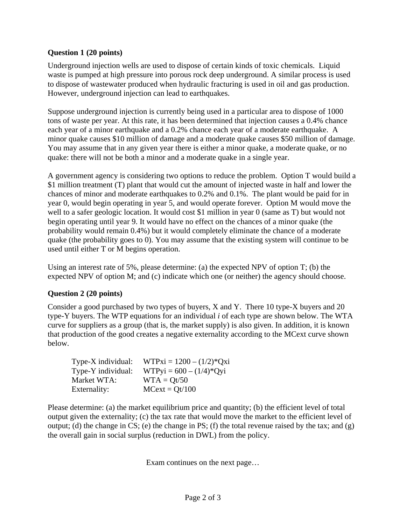## **Question 1 (20 points)**

Underground injection wells are used to dispose of certain kinds of toxic chemicals. Liquid waste is pumped at high pressure into porous rock deep underground. A similar process is used to dispose of wastewater produced when hydraulic fracturing is used in oil and gas production. However, underground injection can lead to earthquakes.

Suppose underground injection is currently being used in a particular area to dispose of 1000 tons of waste per year. At this rate, it has been determined that injection causes a 0.4% chance each year of a minor earthquake and a 0.2% chance each year of a moderate earthquake. A minor quake causes \$10 million of damage and a moderate quake causes \$50 million of damage. You may assume that in any given year there is either a minor quake, a moderate quake, or no quake: there will not be both a minor and a moderate quake in a single year.

A government agency is considering two options to reduce the problem. Option T would build a \$1 million treatment (T) plant that would cut the amount of injected waste in half and lower the chances of minor and moderate earthquakes to 0.2% and 0.1%. The plant would be paid for in year 0, would begin operating in year 5, and would operate forever. Option M would move the well to a safer geologic location. It would cost \$1 million in year 0 (same as T) but would not begin operating until year 9. It would have no effect on the chances of a minor quake (the probability would remain 0.4%) but it would completely eliminate the chance of a moderate quake (the probability goes to 0). You may assume that the existing system will continue to be used until either T or M begins operation.

Using an interest rate of 5%, please determine: (a) the expected NPV of option T; (b) the expected NPV of option M; and (c) indicate which one (or neither) the agency should choose.

### **Question 2 (20 points)**

Consider a good purchased by two types of buyers, X and Y. There 10 type-X buyers and 20 type-Y buyers. The WTP equations for an individual *i* of each type are shown below. The WTA curve for suppliers as a group (that is, the market supply) is also given. In addition, it is known that production of the good creates a negative externality according to the MCext curve shown below.

| Type-X individual: | $WTPxi = 1200 - (1/2)*Qxi$ |
|--------------------|----------------------------|
| Type-Y individual: | $WTPyi = 600 - (1/4)*Qyi$  |
| Market WTA:        | $WTA = Qt/50$              |
| Externality:       | $MCext = Qt/100$           |

Please determine: (a) the market equilibrium price and quantity; (b) the efficient level of total output given the externality; (c) the tax rate that would move the market to the efficient level of output; (d) the change in CS; (e) the change in PS; (f) the total revenue raised by the tax; and  $(g)$ the overall gain in social surplus (reduction in DWL) from the policy.

Exam continues on the next page…